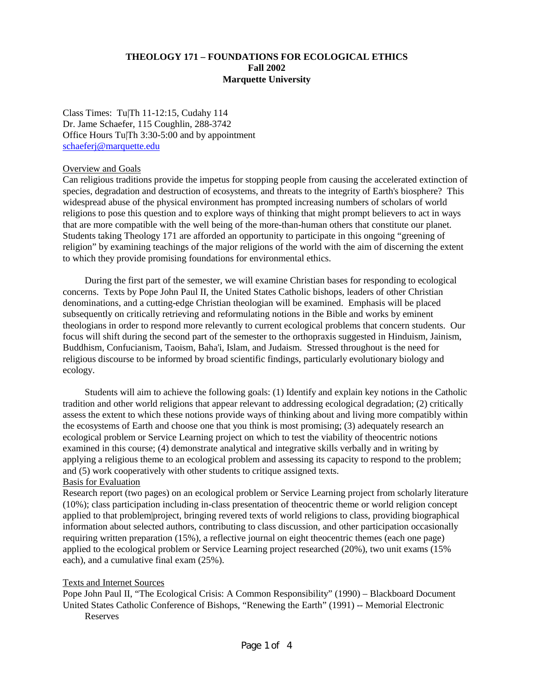## **THEOLOGY 171 – FOUNDATIONS FOR ECOLOGICAL ETHICS Fall 2002 Marquette University**

Class Times: Tu|Th 11-12:15, Cudahy 114 Dr. Jame Schaefer, 115 Coughlin, 288-3742 Office Hours Tu|Th 3:30-5:00 and by appointment schaeferj@marquette.edu

#### Overview and Goals

Can religious traditions provide the impetus for stopping people from causing the accelerated extinction of species, degradation and destruction of ecosystems, and threats to the integrity of Earth's biosphere? This widespread abuse of the physical environment has prompted increasing numbers of scholars of world religions to pose this question and to explore ways of thinking that might prompt believers to act in ways that are more compatible with the well being of the more-than-human others that constitute our planet. Students taking Theology 171 are afforded an opportunity to participate in this ongoing "greening of religion" by examining teachings of the major religions of the world with the aim of discerning the extent to which they provide promising foundations for environmental ethics.

During the first part of the semester, we will examine Christian bases for responding to ecological concerns. Texts by Pope John Paul II, the United States Catholic bishops, leaders of other Christian denominations, and a cutting-edge Christian theologian will be examined. Emphasis will be placed subsequently on critically retrieving and reformulating notions in the Bible and works by eminent theologians in order to respond more relevantly to current ecological problems that concern students. Our focus will shift during the second part of the semester to the orthopraxis suggested in Hinduism, Jainism, Buddhism, Confucianism, Taoism, Baha'i, Islam, and Judaism. Stressed throughout is the need for religious discourse to be informed by broad scientific findings, particularly evolutionary biology and ecology.

Students will aim to achieve the following goals: (1) Identify and explain key notions in the Catholic tradition and other world religions that appear relevant to addressing ecological degradation; (2) critically assess the extent to which these notions provide ways of thinking about and living more compatibly within the ecosystems of Earth and choose one that you think is most promising; (3) adequately research an ecological problem or Service Learning project on which to test the viability of theocentric notions examined in this course; (4) demonstrate analytical and integrative skills verbally and in writing by applying a religious theme to an ecological problem and assessing its capacity to respond to the problem; and (5) work cooperatively with other students to critique assigned texts. Basis for Evaluation

Research report (two pages) on an ecological problem or Service Learning project from scholarly literature (10%); class participation including in-class presentation of theocentric theme or world religion concept applied to that problem|project, bringing revered texts of world religions to class, providing biographical information about selected authors, contributing to class discussion, and other participation occasionally requiring written preparation (15%), a reflective journal on eight theocentric themes (each one page) applied to the ecological problem or Service Learning project researched (20%), two unit exams (15% each), and a cumulative final exam (25%).

## Texts and Internet Sources

Pope John Paul II, "The Ecological Crisis: A Common Responsibility" (1990) – Blackboard Document United States Catholic Conference of Bishops, "Renewing the Earth" (1991) -- Memorial Electronic Reserves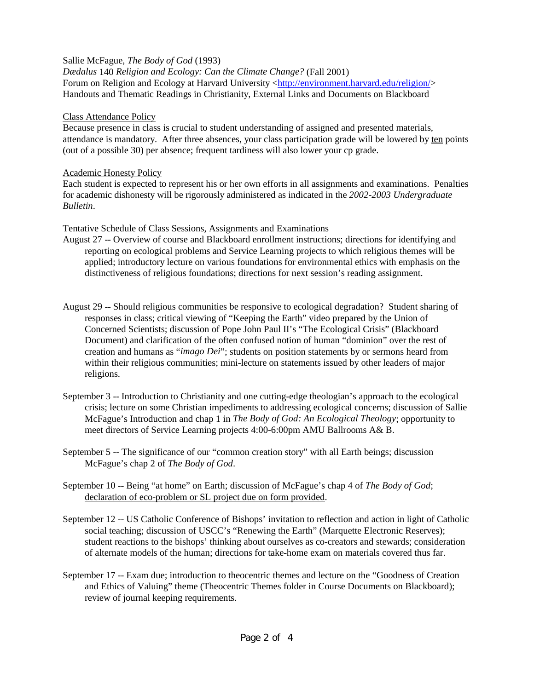# Sallie McFague, *The Body of God* (1993)

*Dædalus* 140 *Religion and Ecology: Can the Climate Change?* (Fall 2001) Forum on Religion and Ecology at Harvard University <http://environment.harvard.edu/religion/> Handouts and Thematic Readings in Christianity, External Links and Documents on Blackboard

#### Class Attendance Policy

Because presence in class is crucial to student understanding of assigned and presented materials, attendance is mandatory. After three absences, your class participation grade will be lowered by ten points (out of a possible 30) per absence; frequent tardiness will also lower your cp grade.

## Academic Honesty Policy

Each student is expected to represent his or her own efforts in all assignments and examinations. Penalties for academic dishonesty will be rigorously administered as indicated in the *2002-2003 Undergraduate Bulletin*.

## Tentative Schedule of Class Sessions, Assignments and Examinations

- August 27 -- Overview of course and Blackboard enrollment instructions; directions for identifying and reporting on ecological problems and Service Learning projects to which religious themes will be applied; introductory lecture on various foundations for environmental ethics with emphasis on the distinctiveness of religious foundations; directions for next session's reading assignment.
- August 29 -- Should religious communities be responsive to ecological degradation? Student sharing of responses in class; critical viewing of "Keeping the Earth" video prepared by the Union of Concerned Scientists; discussion of Pope John Paul II's "The Ecological Crisis" (Blackboard Document) and clarification of the often confused notion of human "dominion" over the rest of creation and humans as "*imago Dei*"; students on position statements by or sermons heard from within their religious communities; mini-lecture on statements issued by other leaders of major religions.
- September 3 -- Introduction to Christianity and one cutting-edge theologian's approach to the ecological crisis; lecture on some Christian impediments to addressing ecological concerns; discussion of Sallie McFague's Introduction and chap 1 in *The Body of God: An Ecological Theology*; opportunity to meet directors of Service Learning projects 4:00-6:00pm AMU Ballrooms A& B.
- September 5 -- The significance of our "common creation story" with all Earth beings; discussion McFague's chap 2 of *The Body of God*.
- September 10 -- Being "at home" on Earth; discussion of McFague's chap 4 of *The Body of God*; declaration of eco-problem or SL project due on form provided.
- September 12 -- US Catholic Conference of Bishops' invitation to reflection and action in light of Catholic social teaching; discussion of USCC's "Renewing the Earth" (Marquette Electronic Reserves); student reactions to the bishops' thinking about ourselves as co-creators and stewards; consideration of alternate models of the human; directions for take-home exam on materials covered thus far.
- September 17 -- Exam due; introduction to theocentric themes and lecture on the "Goodness of Creation and Ethics of Valuing" theme (Theocentric Themes folder in Course Documents on Blackboard); review of journal keeping requirements.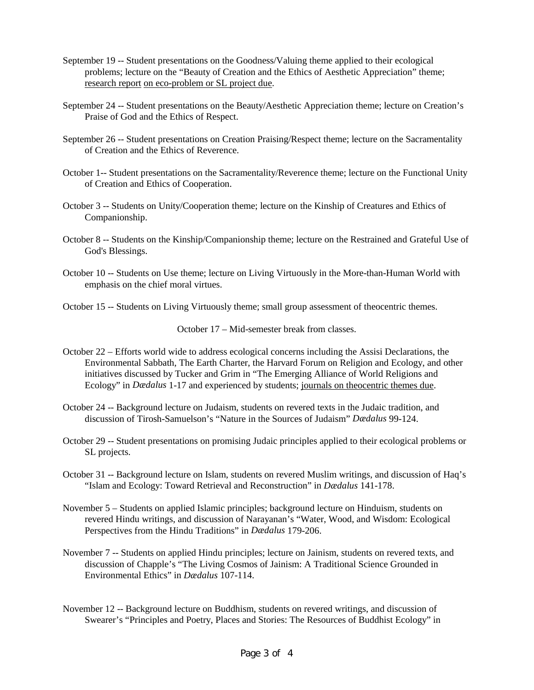- September 19 -- Student presentations on the Goodness/Valuing theme applied to their ecological problems; lecture on the "Beauty of Creation and the Ethics of Aesthetic Appreciation" theme; research report on eco-problem or SL project due.
- September 24 -- Student presentations on the Beauty/Aesthetic Appreciation theme; lecture on Creation's Praise of God and the Ethics of Respect.
- September 26 -- Student presentations on Creation Praising/Respect theme; lecture on the Sacramentality of Creation and the Ethics of Reverence.
- October 1-- Student presentations on the Sacramentality/Reverence theme; lecture on the Functional Unity of Creation and Ethics of Cooperation.
- October 3 -- Students on Unity/Cooperation theme; lecture on the Kinship of Creatures and Ethics of Companionship.
- October 8 -- Students on the Kinship/Companionship theme; lecture on the Restrained and Grateful Use of God's Blessings.
- October 10 -- Students on Use theme; lecture on Living Virtuously in the More-than-Human World with emphasis on the chief moral virtues.

October 15 -- Students on Living Virtuously theme; small group assessment of theocentric themes.

October 17 – Mid-semester break from classes.

- October 22 Efforts world wide to address ecological concerns including the Assisi Declarations, the Environmental Sabbath, The Earth Charter, the Harvard Forum on Religion and Ecology, and other initiatives discussed by Tucker and Grim in "The Emerging Alliance of World Religions and Ecology" in *Dædalus* 1-17 and experienced by students; journals on theocentric themes due.
- October 24 -- Background lecture on Judaism, students on revered texts in the Judaic tradition, and discussion of Tirosh-Samuelson's "Nature in the Sources of Judaism" *Dædalus* 99-124.
- October 29 -- Student presentations on promising Judaic principles applied to their ecological problems or SL projects.
- October 31 -- Background lecture on Islam, students on revered Muslim writings, and discussion of Haq's "Islam and Ecology: Toward Retrieval and Reconstruction" in *Dædalus* 141-178.
- November 5 Students on applied Islamic principles; background lecture on Hinduism, students on revered Hindu writings, and discussion of Narayanan's "Water, Wood, and Wisdom: Ecological Perspectives from the Hindu Traditions" in *Dædalus* 179-206.
- November 7 -- Students on applied Hindu principles; lecture on Jainism, students on revered texts, and discussion of Chapple's "The Living Cosmos of Jainism: A Traditional Science Grounded in Environmental Ethics" in *Dædalus* 107-114.
- November 12 -- Background lecture on Buddhism, students on revered writings, and discussion of Swearer's "Principles and Poetry, Places and Stories: The Resources of Buddhist Ecology" in